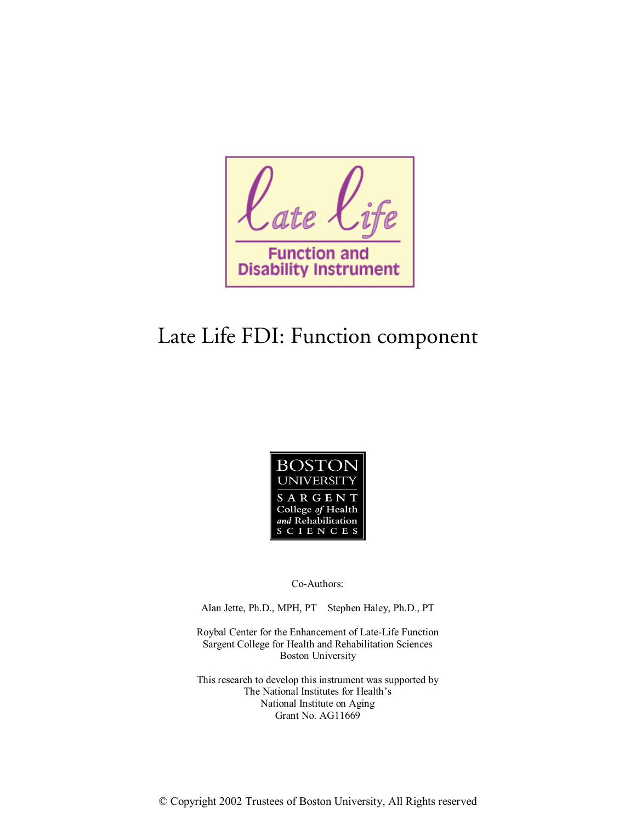ate **Function Disability Instrument** 

# Late Life FDI: Function component



Co-Authors:

Alan Jette, Ph.D., MPH, PT Stephen Haley, Ph.D., PT

Roybal Center for the Enhancement of Late-Life Function Sargent College for Health and Rehabilitation Sciences Boston University

This research to develop this instrument was supported by The National Institutes for Health's National Institute on Aging Grant No. AG11669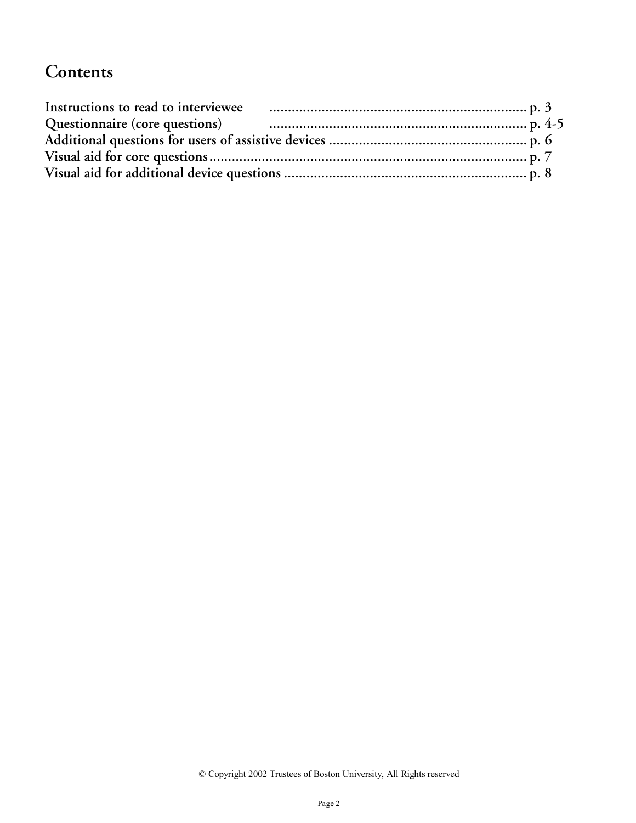## **Contents**

| Instructions to read to interviewee |                                                                   |  |
|-------------------------------------|-------------------------------------------------------------------|--|
|                                     | Questionnaire (core questions) manufacture entrarchief and p. 4-5 |  |
|                                     |                                                                   |  |
|                                     |                                                                   |  |
|                                     |                                                                   |  |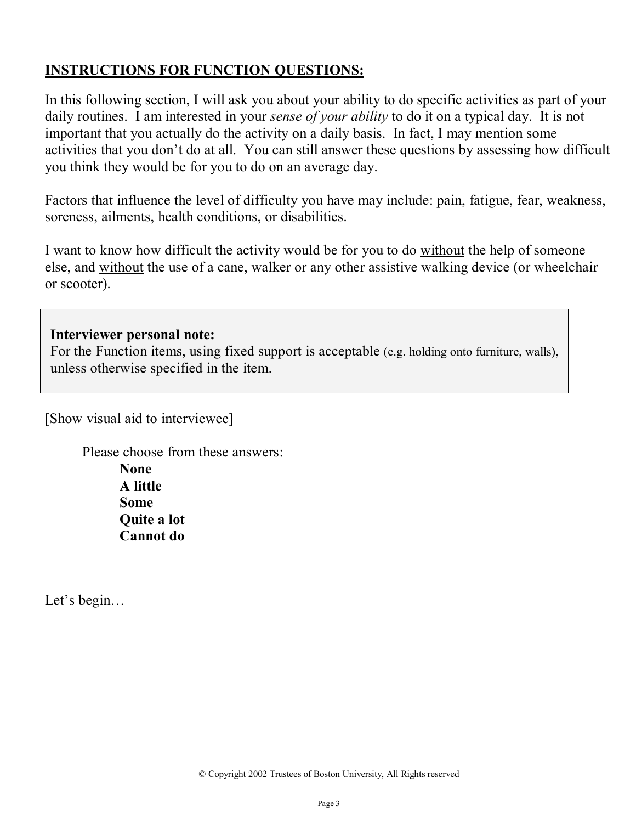## **INSTRUCTIONS FOR FUNCTION QUESTIONS:**

In this following section, I will ask you about your ability to do specific activities as part of your daily routines. I am interested in your *sense of your ability* to do it on a typical day. It is not important that you actually do the activity on a daily basis. In fact, I may mention some activities that you don't do at all. You can still answer these questions by assessing how difficult you think they would be for you to do on an average day.

Factors that influence the level of difficulty you have may include: pain, fatigue, fear, weakness, soreness, ailments, health conditions, or disabilities.

I want to know how difficult the activity would be for you to do without the help of someone else, and without the use of a cane, walker or any other assistive walking device (or wheelchair or scooter).

#### **Interviewer personal note:**

For the Function items, using fixed support is acceptable (e.g. holding onto furniture, walls), unless otherwise specified in the item.

[Show visual aid to interviewee]

Please choose from these answers: **None A little Some Quite a lot Cannot do** 

Let's begin…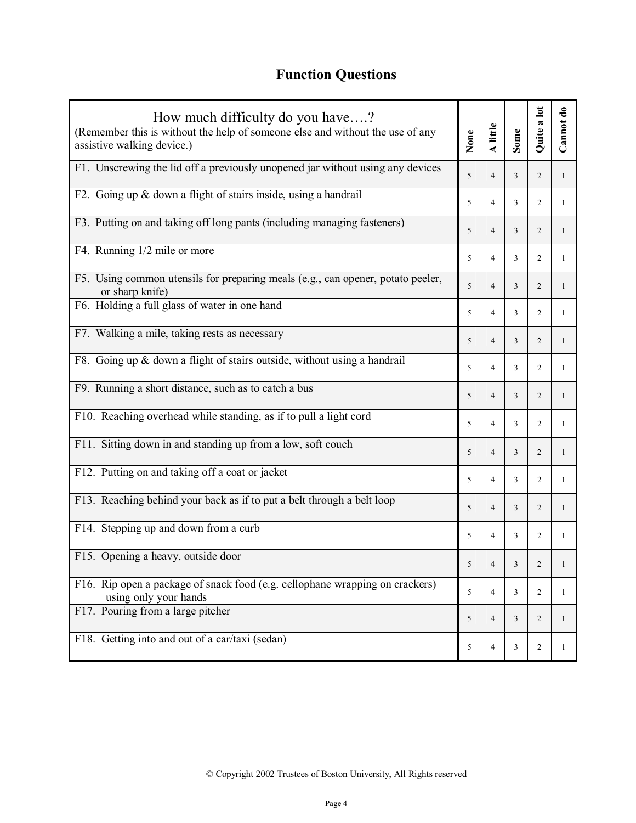## **Function Questions**

| How much difficulty do you have?<br>(Remember this is without the help of someone else and without the use of any<br>assistive walking device.) |   | A little       | Some | Quite a lot    | Cannot do    |
|-------------------------------------------------------------------------------------------------------------------------------------------------|---|----------------|------|----------------|--------------|
| F1. Unscrewing the lid off a previously unopened jar without using any devices                                                                  | 5 | $\overline{4}$ | 3    | 2              | $\mathbf{1}$ |
| F2. Going up & down a flight of stairs inside, using a handrail                                                                                 | 5 | $\overline{4}$ | 3    | 2              | 1            |
| F3. Putting on and taking off long pants (including managing fasteners)                                                                         | 5 | $\overline{4}$ | 3    | 2              | 1            |
| F4. Running 1/2 mile or more                                                                                                                    | 5 | 4              | 3    | 2              | 1            |
| F5. Using common utensils for preparing meals (e.g., can opener, potato peeler,<br>or sharp knife)                                              | 5 | $\overline{4}$ | 3    | 2              | $\mathbf{1}$ |
| F6. Holding a full glass of water in one hand                                                                                                   | 5 | 4              | 3    | 2              | -1           |
| F7. Walking a mile, taking rests as necessary                                                                                                   | 5 | $\overline{4}$ | 3    | 2              | $\mathbf{1}$ |
| F8. Going up & down a flight of stairs outside, without using a handrail                                                                        | 5 | 4              | 3    | 2              | $\mathbf{1}$ |
| F9. Running a short distance, such as to catch a bus                                                                                            | 5 | $\overline{4}$ | 3    | $\overline{c}$ | 1            |
| F10. Reaching overhead while standing, as if to pull a light cord                                                                               | 5 | $\overline{4}$ | 3    | 2              | 1            |
| F11. Sitting down in and standing up from a low, soft couch                                                                                     | 5 | $\overline{4}$ | 3    | $\overline{c}$ | 1            |
| F12. Putting on and taking off a coat or jacket                                                                                                 | 5 | 4              | 3    | 2              | 1            |
| F13. Reaching behind your back as if to put a belt through a belt loop                                                                          | 5 | $\overline{4}$ | 3    | $\overline{c}$ | $\mathbf{1}$ |
| F14. Stepping up and down from a curb                                                                                                           | 5 | $\overline{4}$ | 3    | 2              | 1            |
| F15. Opening a heavy, outside door                                                                                                              | 5 | 4              | 3    | $\overline{c}$ |              |
| F16. Rip open a package of snack food (e.g. cellophane wrapping on crackers)<br>using only your hands                                           | 5 | $\overline{4}$ | 3    | 2              | $\mathbf{1}$ |
| F17. Pouring from a large pitcher                                                                                                               | 5 | $\overline{4}$ | 3    | 2              | $\mathbf{1}$ |
| F18. Getting into and out of a car/taxi (sedan)                                                                                                 | 5 | 4              | 3    | $\overline{2}$ | 1            |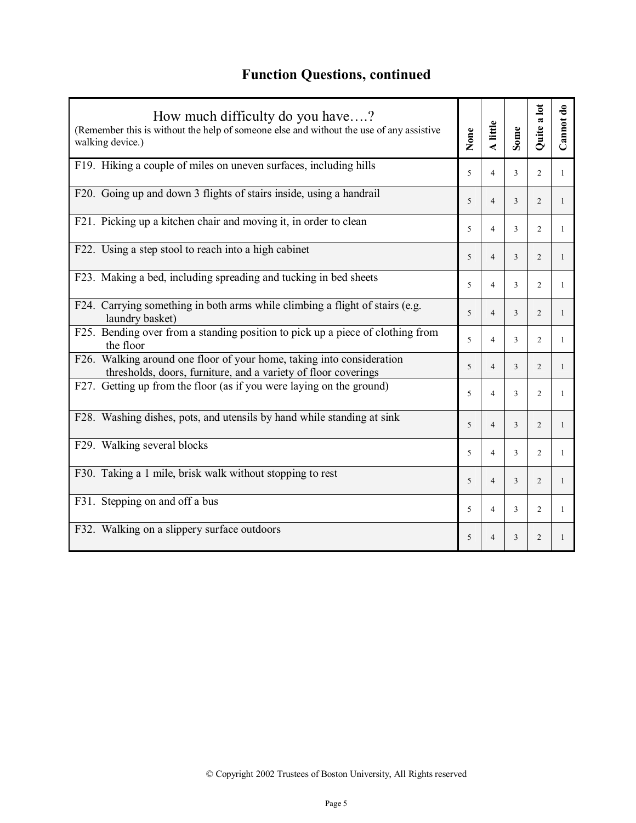## **Function Questions, continued**

| How much difficulty do you have?<br>(Remember this is without the help of someone else and without the use of any assistive<br>walking device.) |   | A little                 | Some           | Quite a lot    | Cannot do    |
|-------------------------------------------------------------------------------------------------------------------------------------------------|---|--------------------------|----------------|----------------|--------------|
| F19. Hiking a couple of miles on uneven surfaces, including hills                                                                               | 5 | $\overline{4}$           | 3              | $\overline{2}$ | $\mathbf{1}$ |
| F20. Going up and down 3 flights of stairs inside, using a handrail                                                                             | 5 | $\overline{4}$           | 3              | $\overline{c}$ | $\mathbf{1}$ |
| F21. Picking up a kitchen chair and moving it, in order to clean                                                                                | 5 | $\overline{4}$           | 3              | 2              | $\mathbf{1}$ |
| F22. Using a step stool to reach into a high cabinet                                                                                            | 5 | $\overline{4}$           | 3              | 2              | $\mathbf{1}$ |
| F23. Making a bed, including spreading and tucking in bed sheets                                                                                | 5 | $\overline{\mathcal{A}}$ | 3              | 2              | 1            |
| F24. Carrying something in both arms while climbing a flight of stairs (e.g.<br>laundry basket)                                                 | 5 | $\overline{4}$           | 3              | 2              | 1            |
| F25. Bending over from a standing position to pick up a piece of clothing from<br>the floor                                                     | 5 | $\overline{4}$           | 3              | 2              | 1            |
| F26. Walking around one floor of your home, taking into consideration<br>thresholds, doors, furniture, and a variety of floor coverings         | 5 | $\overline{4}$           | 3              | 2              | $\mathbf{1}$ |
| F27. Getting up from the floor (as if you were laying on the ground)                                                                            | 5 | $\overline{\mathcal{A}}$ | 3              | 2              | $\mathbf{1}$ |
| F28. Washing dishes, pots, and utensils by hand while standing at sink                                                                          | 5 | $\overline{4}$           | $\overline{3}$ | $\overline{2}$ | $\mathbf{1}$ |
| F29. Walking several blocks                                                                                                                     | 5 | $\overline{4}$           | 3              | $\overline{2}$ | 1            |
| F30. Taking a 1 mile, brisk walk without stopping to rest                                                                                       | 5 | $\overline{4}$           | 3              | $\overline{2}$ | $\mathbf{1}$ |
| F31. Stepping on and off a bus                                                                                                                  | 5 | $\overline{4}$           | 3              | 2              | $\mathbf{1}$ |
| F32. Walking on a slippery surface outdoors                                                                                                     | 5 | 4                        | 3              | $\overline{2}$ | 1            |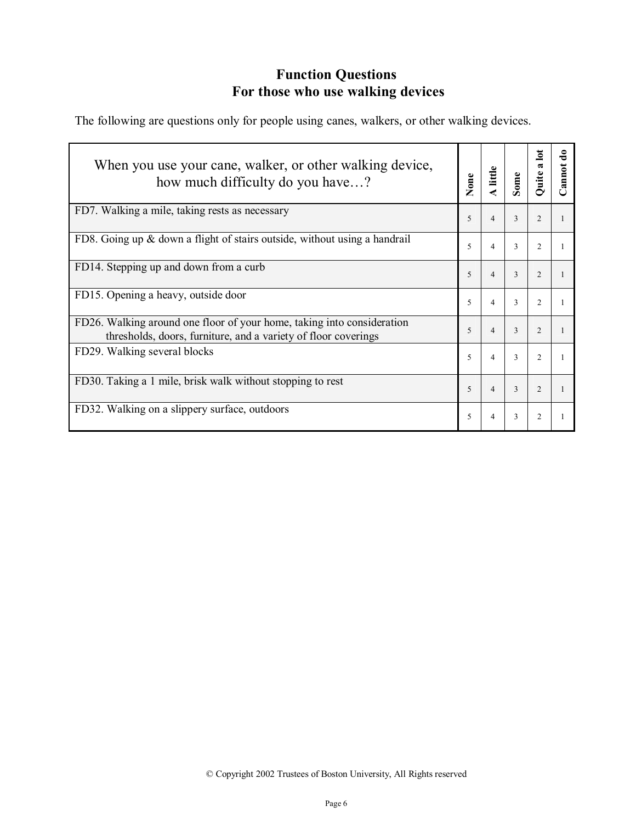## **Function Questions For those who use walking devices**

The following are questions only for people using canes, walkers, or other walking devices.

| When you use your cane, walker, or other walking device,<br>how much difficulty do you have?                                             |                | A little       | Some          | lot<br>$\mathbf{\tilde{z}}$<br>Quite | Ō<br>annot |
|------------------------------------------------------------------------------------------------------------------------------------------|----------------|----------------|---------------|--------------------------------------|------------|
| FD7. Walking a mile, taking rests as necessary                                                                                           | 5              | $\overline{4}$ | 3             | $\overline{2}$                       |            |
| FD8. Going up & down a flight of stairs outside, without using a handrail                                                                | 5              | $\overline{4}$ | 3             | $\overline{2}$                       |            |
| FD14. Stepping up and down from a curb                                                                                                   | 5              | $\overline{4}$ | 3             | $\overline{c}$                       |            |
| FD15. Opening a heavy, outside door                                                                                                      | 5              | $\overline{4}$ | 3             | $\overline{2}$                       |            |
| FD26. Walking around one floor of your home, taking into consideration<br>thresholds, doors, furniture, and a variety of floor coverings | $\overline{5}$ | $\overline{4}$ | $\mathcal{E}$ | $\mathfrak{D}$                       |            |
| FD29. Walking several blocks                                                                                                             | 5              | $\overline{4}$ | 3             | $\overline{2}$                       |            |
| FD30. Taking a 1 mile, brisk walk without stopping to rest                                                                               | 5              | $\overline{4}$ | $\mathcal{E}$ | $\mathfrak{D}$                       |            |
| FD32. Walking on a slippery surface, outdoors                                                                                            | 5              | 4              | 3             | $\overline{2}$                       |            |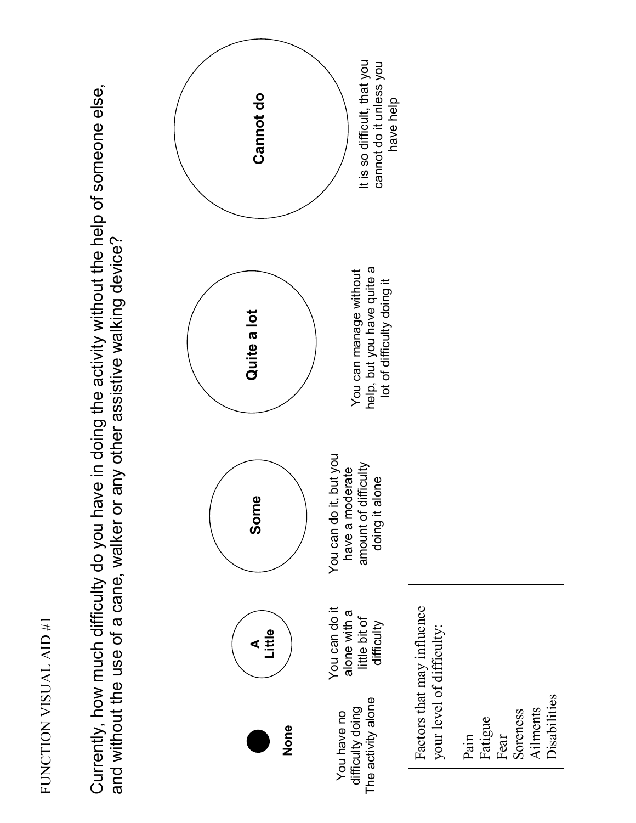Currently, how much difficulty do you have in doing the activity without the help of someone else, Currently, how much difficulty do you have in doing the activity without the help of someone else, and without the use of a cane, walker or any other assistive walking device? and without the use of a cane, walker or any other assistive walking device?



Soreness Ailments Disabilities

Ailments

Disabilities